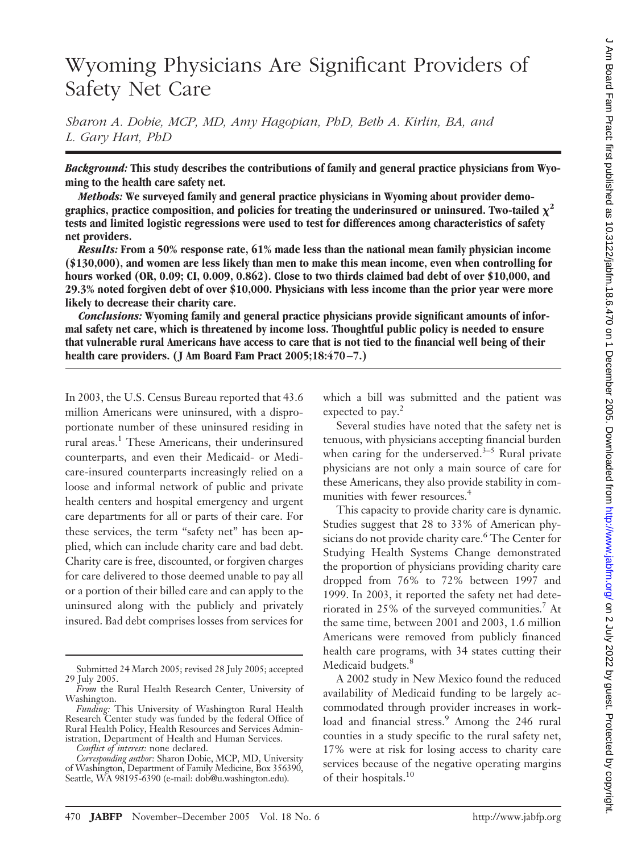# Wyoming Physicians Are Significant Providers of Safety Net Care

*Sharon A. Dobie, MCP, MD, Amy Hagopian, PhD, Beth A. Kirlin, BA, and L. Gary Hart, PhD*

*Background:* **This study describes the contributions of family and general practice physicians from Wyoming to the health care safety net.**

*Methods:* **We surveyed family and general practice physicians in Wyoming about provider demo**graphics, practice composition, and policies for treating the underinsured or uninsured. Two-tailed  $\chi^2$ **tests and limited logistic regressions were used to test for differences among characteristics of safety net providers.**

*Results:* **From a 50% response rate, 61% made less than the national mean family physician income (\$130,000), and women are less likely than men to make this mean income, even when controlling for hours worked (OR, 0.09; CI, 0.009, 0.862). Close to two thirds claimed bad debt of over \$10,000, and 29.3% noted forgiven debt of over \$10,000. Physicians with less income than the prior year were more likely to decrease their charity care.**

*Conclusions:* **Wyoming family and general practice physicians provide significant amounts of informal safety net care, which is threatened by income loss. Thoughtful public policy is needed to ensure that vulnerable rural Americans have access to care that is not tied to the financial well being of their health care providers. ( J Am Board Fam Pract 2005;18:470 –7.)**

In 2003, the U.S. Census Bureau reported that 43.6 million Americans were uninsured, with a disproportionate number of these uninsured residing in rural areas.<sup>1</sup> These Americans, their underinsured counterparts, and even their Medicaid- or Medicare-insured counterparts increasingly relied on a loose and informal network of public and private health centers and hospital emergency and urgent care departments for all or parts of their care. For these services, the term "safety net" has been applied, which can include charity care and bad debt. Charity care is free, discounted, or forgiven charges for care delivered to those deemed unable to pay all or a portion of their billed care and can apply to the uninsured along with the publicly and privately insured. Bad debt comprises losses from services for

which a bill was submitted and the patient was expected to pay.<sup>2</sup>

Several studies have noted that the safety net is tenuous, with physicians accepting financial burden when caring for the underserved. $3-5$  Rural private physicians are not only a main source of care for these Americans, they also provide stability in communities with fewer resources.<sup>4</sup>

This capacity to provide charity care is dynamic. Studies suggest that 28 to 33% of American physicians do not provide charity care.<sup>6</sup> The Center for Studying Health Systems Change demonstrated the proportion of physicians providing charity care dropped from 76% to 72% between 1997 and 1999. In 2003, it reported the safety net had deteriorated in 25% of the surveyed communities.7 At the same time, between 2001 and 2003, 1.6 million Americans were removed from publicly financed health care programs, with 34 states cutting their Medicaid budgets.<sup>8</sup>

A 2002 study in New Mexico found the reduced availability of Medicaid funding to be largely accommodated through provider increases in workload and financial stress.<sup>9</sup> Among the 246 rural counties in a study specific to the rural safety net, 17% were at risk for losing access to charity care services because of the negative operating margins of their hospitals.10

Submitted 24 March 2005; revised 28 July 2005; accepted 29 July 2005.

*From* the Rural Health Research Center, University of Washington.

*Funding:* This University of Washington Rural Health Research Center study was funded by the federal Office of Rural Health Policy, Health Resources and Services Administration, Department of Health and Human Services.

*Conflict of interest:* none declared.

*Corresponding author:* Sharon Dobie, MCP, MD, University of Washington, Department of Family Medicine, Box 356390, Seattle, WA 98195-6390 (e-mail: dob@u.washington.edu).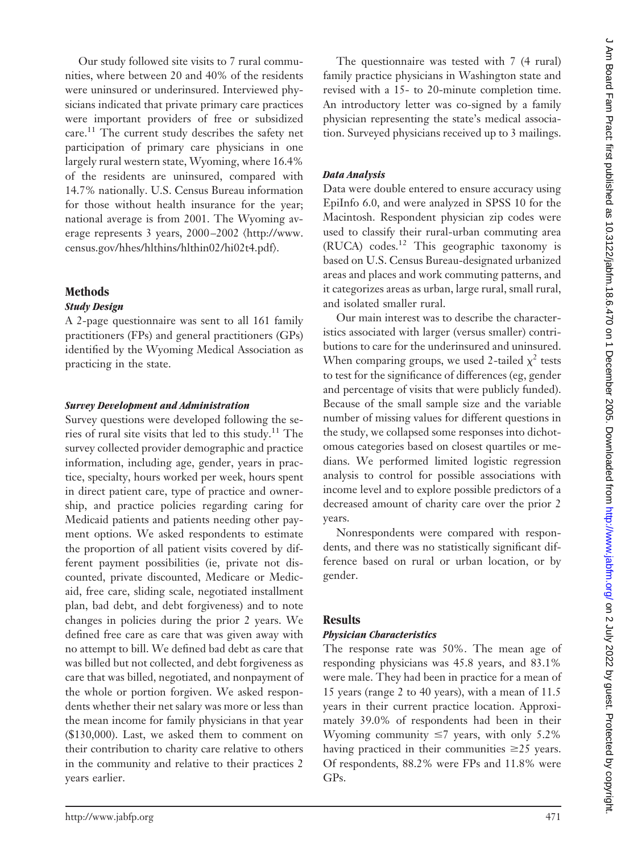Our study followed site visits to 7 rural communities, where between 20 and 40% of the residents were uninsured or underinsured. Interviewed physicians indicated that private primary care practices were important providers of free or subsidized care.11 The current study describes the safety net participation of primary care physicians in one largely rural western state, Wyoming, where 16.4% of the residents are uninsured, compared with 14.7% nationally. U.S. Census Bureau information for those without health insurance for the year; national average is from 2001. The Wyoming average represents 3 years, 2000 –2002 http://www. census.gov/hhes/hlthins/hlthin02/hi02t4.pdf-.

## **Methods**

#### *Study Design*

A 2-page questionnaire was sent to all 161 family practitioners (FPs) and general practitioners (GPs) identified by the Wyoming Medical Association as practicing in the state.

#### *Survey Development and Administration*

Survey questions were developed following the series of rural site visits that led to this study.11 The survey collected provider demographic and practice information, including age, gender, years in practice, specialty, hours worked per week, hours spent in direct patient care, type of practice and ownership, and practice policies regarding caring for Medicaid patients and patients needing other payment options. We asked respondents to estimate the proportion of all patient visits covered by different payment possibilities (ie, private not discounted, private discounted, Medicare or Medicaid, free care, sliding scale, negotiated installment plan, bad debt, and debt forgiveness) and to note changes in policies during the prior 2 years. We defined free care as care that was given away with no attempt to bill. We defined bad debt as care that was billed but not collected, and debt forgiveness as care that was billed, negotiated, and nonpayment of the whole or portion forgiven. We asked respondents whether their net salary was more or less than the mean income for family physicians in that year (\$130,000). Last, we asked them to comment on their contribution to charity care relative to others in the community and relative to their practices 2 years earlier.

The questionnaire was tested with 7 (4 rural) family practice physicians in Washington state and revised with a 15- to 20-minute completion time. An introductory letter was co-signed by a family physician representing the state's medical association. Surveyed physicians received up to 3 mailings.

## *Data Analysis*

Data were double entered to ensure accuracy using EpiInfo 6.0, and were analyzed in SPSS 10 for the Macintosh. Respondent physician zip codes were used to classify their rural-urban commuting area (RUCA) codes.<sup>12</sup> This geographic taxonomy is based on U.S. Census Bureau-designated urbanized areas and places and work commuting patterns, and it categorizes areas as urban, large rural, small rural, and isolated smaller rural.

Our main interest was to describe the characteristics associated with larger (versus smaller) contributions to care for the underinsured and uninsured. When comparing groups, we used 2-tailed  $\chi^2$  tests to test for the significance of differences (eg, gender and percentage of visits that were publicly funded). Because of the small sample size and the variable number of missing values for different questions in the study, we collapsed some responses into dichotomous categories based on closest quartiles or medians. We performed limited logistic regression analysis to control for possible associations with income level and to explore possible predictors of a decreased amount of charity care over the prior 2 years.

Nonrespondents were compared with respondents, and there was no statistically significant difference based on rural or urban location, or by gender.

### **Results**

## *Physician Characteristics*

The response rate was 50%. The mean age of responding physicians was 45.8 years, and 83.1% were male. They had been in practice for a mean of 15 years (range 2 to 40 years), with a mean of 11.5 years in their current practice location. Approximately 39.0% of respondents had been in their Wyoming community  $\leq 7$  years, with only 5.2% having practiced in their communities  $\geq 25$  years. Of respondents, 88.2% were FPs and 11.8% were GPs.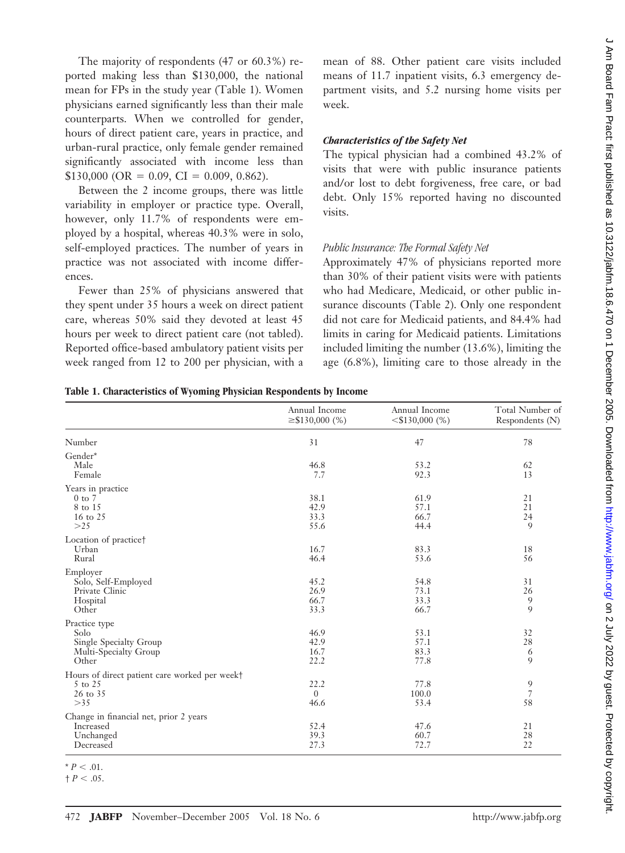The majority of respondents (47 or 60.3%) reported making less than \$130,000, the national mean for FPs in the study year (Table 1). Women physicians earned significantly less than their male counterparts. When we controlled for gender, hours of direct patient care, years in practice, and urban-rural practice, only female gender remained significantly associated with income less than  $$130,000$  (OR = 0.09, CI = 0.009, 0.862).

Between the 2 income groups, there was little variability in employer or practice type. Overall, however, only 11.7% of respondents were employed by a hospital, whereas 40.3% were in solo, self-employed practices. The number of years in practice was not associated with income differences.

Fewer than 25% of physicians answered that they spent under 35 hours a week on direct patient care, whereas 50% said they devoted at least 45 hours per week to direct patient care (not tabled). Reported office-based ambulatory patient visits per week ranged from 12 to 200 per physician, with a mean of 88. Other patient care visits included means of 11.7 inpatient visits, 6.3 emergency department visits, and 5.2 nursing home visits per week.

#### *Characteristics of the Safety Net*

The typical physician had a combined 43.2% of visits that were with public insurance patients and/or lost to debt forgiveness, free care, or bad debt. Only 15% reported having no discounted visits.

#### *Public Insurance: The Formal Safety Net*

Approximately 47% of physicians reported more than 30% of their patient visits were with patients who had Medicare, Medicaid, or other public insurance discounts (Table 2). Only one respondent did not care for Medicaid patients, and 84.4% had limits in caring for Medicaid patients. Limitations included limiting the number (13.6%), limiting the age (6.8%), limiting care to those already in the

|  |  | Table 1. Characteristics of Wyoming Physician Respondents by Income |  |  |  |  |  |  |  |
|--|--|---------------------------------------------------------------------|--|--|--|--|--|--|--|
|--|--|---------------------------------------------------------------------|--|--|--|--|--|--|--|

|                                               | Annual Income<br>$\geq$ \$130,000 (%) | Annual Income<br>$<$ \$130,000 (%) | Total Number of<br>Respondents (N) |
|-----------------------------------------------|---------------------------------------|------------------------------------|------------------------------------|
| Number                                        | 31                                    | 47                                 | 78                                 |
| Gender*                                       |                                       |                                    |                                    |
| Male                                          | 46.8                                  | 53.2                               | 62                                 |
| Female                                        | 7.7                                   | 92.3                               | 13                                 |
| Years in practice                             |                                       |                                    |                                    |
| $0 \text{ to } 7$                             | 38.1                                  | 61.9                               | 21                                 |
| 8 to 15                                       | 42.9                                  | 57.1                               | 21                                 |
| 16 to 25                                      | 33.3                                  | 66.7                               | 24                                 |
| >25                                           | 55.6                                  | 44.4                               | 9                                  |
| Location of practice†                         |                                       |                                    |                                    |
| Urban                                         | 16.7                                  | 83.3                               | 18                                 |
| Rural                                         | 46.4                                  | 53.6                               | 56                                 |
| Employer                                      |                                       |                                    |                                    |
| Solo, Self-Employed                           | 45.2                                  | 54.8                               | 31                                 |
| Private Clinic                                | 26.9                                  | 73.1                               | 26                                 |
| Hospital                                      | 66.7                                  | 33.3                               | 9                                  |
| Other                                         | 33.3                                  | 66.7                               | 9                                  |
| Practice type                                 |                                       |                                    |                                    |
| Solo                                          | 46.9                                  | 53.1                               | 32                                 |
| Single Specialty Group                        | 42.9                                  | 57.1                               | 28                                 |
| Multi-Specialty Group                         | 16.7                                  | 83.3                               | 6                                  |
| Other                                         | 22.2                                  | 77.8                               | 9                                  |
| Hours of direct patient care worked per week† |                                       |                                    |                                    |
| 5 to 25                                       | 22.2                                  | 77.8                               | 9                                  |
| 26 to 35                                      | $\Omega$                              | 100.0                              | $\overline{\phantom{a}}$           |
| >35                                           | 46.6                                  | 53.4                               | 58                                 |
| Change in financial net, prior 2 years        |                                       |                                    |                                    |
| Increased                                     | 52.4                                  | 47.6                               | 21                                 |
| Unchanged                                     | 39.3                                  | 60.7                               | 28                                 |
| Decreased                                     | 27.3                                  | 72.7                               | 22                                 |

 $* P < .01.$ 

 $\dagger$  *P* < .05.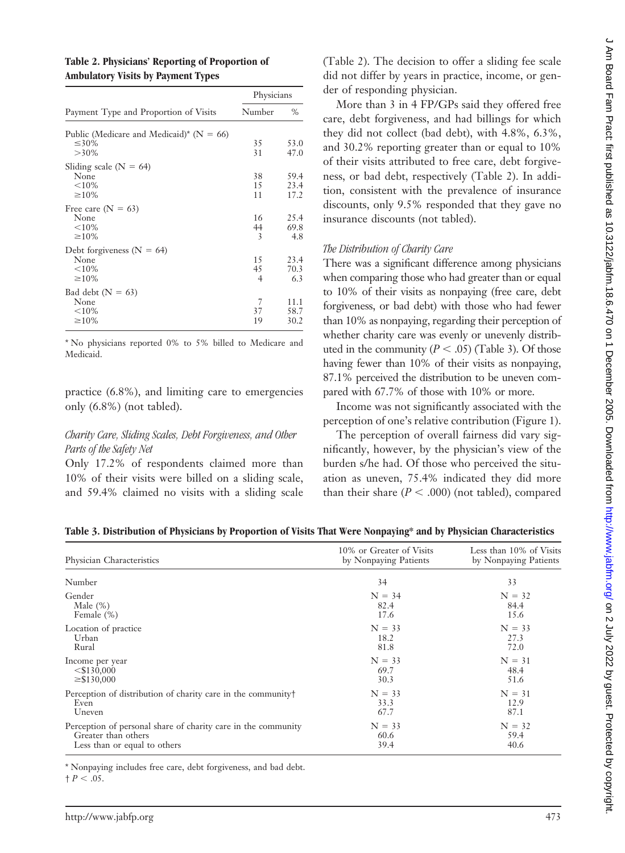|                                           | Table 2. Physicians' Reporting of Proportion of |  |
|-------------------------------------------|-------------------------------------------------|--|
| <b>Ambulatory Visits by Payment Types</b> |                                                 |  |

|                                                          | Physicians |      |  |
|----------------------------------------------------------|------------|------|--|
| Payment Type and Proportion of Visits                    | Number     | $\%$ |  |
| Public (Medicare and Medicaid) <sup>*</sup> ( $N = 66$ ) |            |      |  |
| $\leq$ 30%                                               | 35         | 53.0 |  |
| $>30\%$                                                  | 31         | 47.0 |  |
| Sliding scale ( $N = 64$ )                               |            |      |  |
| None                                                     | 38         | 59.4 |  |
| $<$ 10%                                                  | 15         | 23.4 |  |
| $\geq 10\%$                                              | 11         | 17.2 |  |
| Free care ( $N = 63$ )                                   |            |      |  |
| None                                                     | 16         | 25.4 |  |
| $<$ 10%                                                  | 44         | 69.8 |  |
| $\geq 10\%$                                              | 3          | 4.8  |  |
| Debt forgiveness ( $N = 64$ )                            |            |      |  |
| None                                                     | 15         | 23.4 |  |
| $<$ 10%                                                  | 45         | 70.3 |  |
| $\geq 10\%$                                              | 4          | 6.3  |  |
| Bad debt ( $N = 63$ )                                    |            |      |  |
| None                                                     | 7          | 11.1 |  |
| $<$ 10%                                                  | 37         | 58.7 |  |
| $\geq$ 10%                                               | 19         | 30.2 |  |

\* No physicians reported 0% to 5% billed to Medicare and Medicaid.

practice (6.8%), and limiting care to emergencies only (6.8%) (not tabled).

## *Charity Care, Sliding Scales, Debt Forgiveness, and Other Parts of the Safety Net*

Only 17.2% of respondents claimed more than 10% of their visits were billed on a sliding scale, and 59.4% claimed no visits with a sliding scale (Table 2). The decision to offer a sliding fee scale did not differ by years in practice, income, or gender of responding physician.

More than 3 in 4 FP/GPs said they offered free care, debt forgiveness, and had billings for which they did not collect (bad debt), with 4.8%, 6.3%, and 30.2% reporting greater than or equal to 10% of their visits attributed to free care, debt forgiveness, or bad debt, respectively (Table 2). In addition, consistent with the prevalence of insurance discounts, only 9.5% responded that they gave no insurance discounts (not tabled).

#### *The Distribution of Charity Care*

There was a significant difference among physicians when comparing those who had greater than or equal to 10% of their visits as nonpaying (free care, debt forgiveness, or bad debt) with those who had fewer than 10% as nonpaying, regarding their perception of whether charity care was evenly or unevenly distributed in the community  $(P < .05)$  (Table 3). Of those having fewer than 10% of their visits as nonpaying, 87.1% perceived the distribution to be uneven compared with 67.7% of those with 10% or more.

Income was not significantly associated with the perception of one's relative contribution (Figure 1).

The perception of overall fairness did vary significantly, however, by the physician's view of the burden s/he had. Of those who perceived the situation as uneven, 75.4% indicated they did more than their share  $(P < .000)$  (not tabled), compared

#### **Table 3. Distribution of Physicians by Proportion of Visits That Were Nonpaying\* and by Physician Characteristics**

| Physician Characteristics                                     | 10% or Greater of Visits<br>by Nonpaying Patients | Less than 10% of Visits<br>by Nonpaying Patients |  |
|---------------------------------------------------------------|---------------------------------------------------|--------------------------------------------------|--|
| Number                                                        | 34                                                | 33                                               |  |
| Gender                                                        | $N = 34$                                          | $N = 32$                                         |  |
| Male $(\%)$                                                   | 82.4                                              | 84.4                                             |  |
| Female (%)                                                    | 17.6                                              | 15.6                                             |  |
| Location of practice                                          | $N = 33$                                          | $N = 33$                                         |  |
| Urban                                                         | 18.2                                              | 27.3                                             |  |
| Rural                                                         | 81.8                                              | 72.0                                             |  |
| Income per year                                               | $N = 33$                                          | $N = 31$                                         |  |
| $<$ \$130,000                                                 | 69.7                                              | 48.4                                             |  |
| $\geq$ \$130,000                                              | 30.3                                              | 51.6                                             |  |
| Perception of distribution of charity care in the community   | $N = 33$                                          | $N = 31$                                         |  |
| Even                                                          | 33.3                                              | 12.9                                             |  |
| Uneven                                                        | 67.7                                              | 87.1                                             |  |
| Perception of personal share of charity care in the community | $N = 33$                                          | $N = 32$                                         |  |
| Greater than others                                           | 60.6                                              | 59.4                                             |  |
| Less than or equal to others                                  | 39.4                                              | 40.6                                             |  |

\* Nonpaying includes free care, debt forgiveness, and bad debt.

 $+ P < .05.$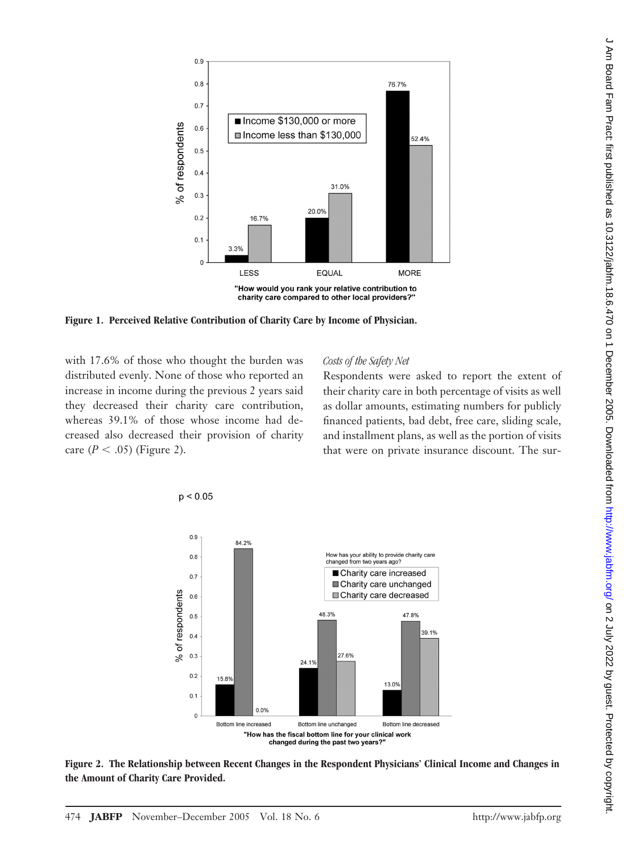

**Figure 1. Perceived Relative Contribution of Charity Care by Income of Physician.**

with 17.6% of those who thought the burden was distributed evenly. None of those who reported an increase in income during the previous 2 years said they decreased their charity care contribution, whereas 39.1% of those whose income had decreased also decreased their provision of charity care  $(P < .05)$  (Figure 2).

### *Costs of the Safety Net*

Respondents were asked to report the extent of their charity care in both percentage of visits as well as dollar amounts, estimating numbers for publicly financed patients, bad debt, free care, sliding scale, and installment plans, as well as the portion of visits that were on private insurance discount. The sur-



 $p < 0.05$ 

**Figure 2. The Relationship between Recent Changes in the Respondent Physicians' Clinical Income and Changes in the Amount of Charity Care Provided.**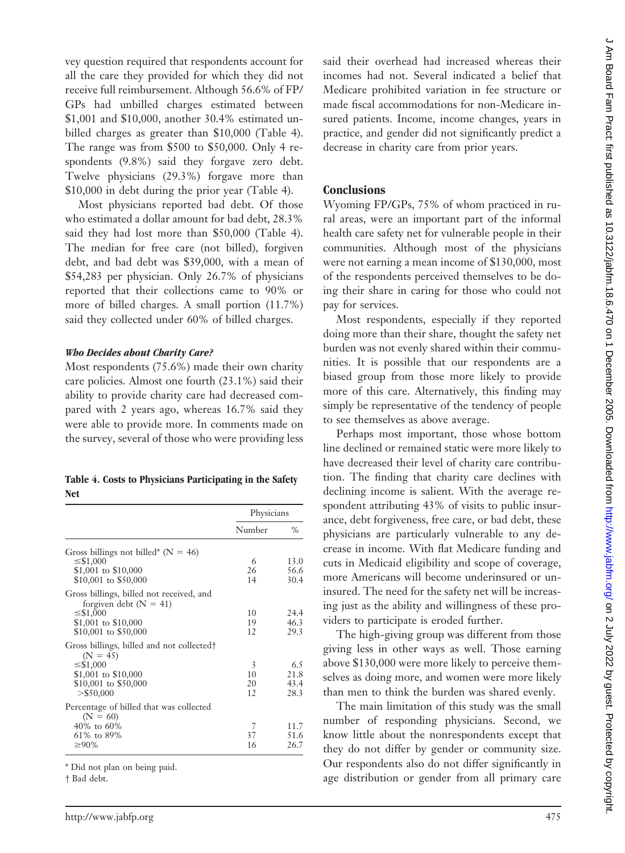vey question required that respondents account for all the care they provided for which they did not receive full reimbursement. Although 56.6% of FP/ GPs had unbilled charges estimated between \$1,001 and \$10,000, another 30.4% estimated unbilled charges as greater than \$10,000 (Table 4). The range was from \$500 to \$50,000. Only 4 respondents (9.8%) said they forgave zero debt. Twelve physicians (29.3%) forgave more than \$10,000 in debt during the prior year (Table 4).

Most physicians reported bad debt. Of those who estimated a dollar amount for bad debt, 28.3% said they had lost more than \$50,000 (Table 4). The median for free care (not billed), forgiven debt, and bad debt was \$39,000, with a mean of \$54,283 per physician. Only 26.7% of physicians reported that their collections came to 90% or more of billed charges. A small portion (11.7%) said they collected under 60% of billed charges.

#### *Who Decides about Charity Care?*

Most respondents (75.6%) made their own charity care policies. Almost one fourth (23.1%) said their ability to provide charity care had decreased compared with 2 years ago, whereas 16.7% said they were able to provide more. In comments made on the survey, several of those who were providing less

**Table 4. Costs to Physicians Participating in the Safety Net**

|                                                                      | Physicians |      |
|----------------------------------------------------------------------|------------|------|
|                                                                      | Number     | $\%$ |
| Gross billings not billed* ( $N = 46$ )                              |            |      |
| $\leq$ \$1,000                                                       | 6          | 13.0 |
| \$1,001 to \$10,000                                                  | 26         | 56.6 |
| \$10,001 to \$50,000                                                 | 14         | 30.4 |
| Gross billings, billed not received, and<br>forgiven debt $(N = 41)$ |            |      |
| $\leq$ \$1,000                                                       | 10         | 24.4 |
| \$1,001 to \$10,000                                                  | 19         | 46.3 |
| \$10,001 to \$50,000                                                 | 12         | 29.3 |
| Gross billings, billed and not collected†<br>$(N = 45)$              |            |      |
| $\leq$ \$1,000                                                       | 3          | 6.5  |
| \$1,001 to \$10,000                                                  | 10         | 21.8 |
| \$10,001 to \$50,000                                                 | 20         | 43.4 |
| $>$ \$50,000                                                         | 12         | 28.3 |
| Percentage of billed that was collected<br>$(N = 60)$                |            |      |
| 40% to 60%                                                           | 7          | 11.7 |
| $61\%$ to $89\%$                                                     | 37         | 51.6 |
| $\geq 90\%$                                                          | 16         | 26.7 |

\* Did not plan on being paid.

† Bad debt.

said their overhead had increased whereas their incomes had not. Several indicated a belief that Medicare prohibited variation in fee structure or made fiscal accommodations for non-Medicare insured patients. Income, income changes, years in practice, and gender did not significantly predict a decrease in charity care from prior years.

## **Conclusions**

Wyoming FP/GPs, 75% of whom practiced in rural areas, were an important part of the informal health care safety net for vulnerable people in their communities. Although most of the physicians were not earning a mean income of \$130,000, most of the respondents perceived themselves to be doing their share in caring for those who could not pay for services.

Most respondents, especially if they reported doing more than their share, thought the safety net burden was not evenly shared within their communities. It is possible that our respondents are a biased group from those more likely to provide more of this care. Alternatively, this finding may simply be representative of the tendency of people to see themselves as above average.

Perhaps most important, those whose bottom line declined or remained static were more likely to have decreased their level of charity care contribution. The finding that charity care declines with declining income is salient. With the average respondent attributing 43% of visits to public insurance, debt forgiveness, free care, or bad debt, these physicians are particularly vulnerable to any decrease in income. With flat Medicare funding and cuts in Medicaid eligibility and scope of coverage, more Americans will become underinsured or uninsured. The need for the safety net will be increasing just as the ability and willingness of these providers to participate is eroded further.

The high-giving group was different from those giving less in other ways as well. Those earning above \$130,000 were more likely to perceive themselves as doing more, and women were more likely than men to think the burden was shared evenly.

The main limitation of this study was the small number of responding physicians. Second, we know little about the nonrespondents except that they do not differ by gender or community size. Our respondents also do not differ significantly in age distribution or gender from all primary care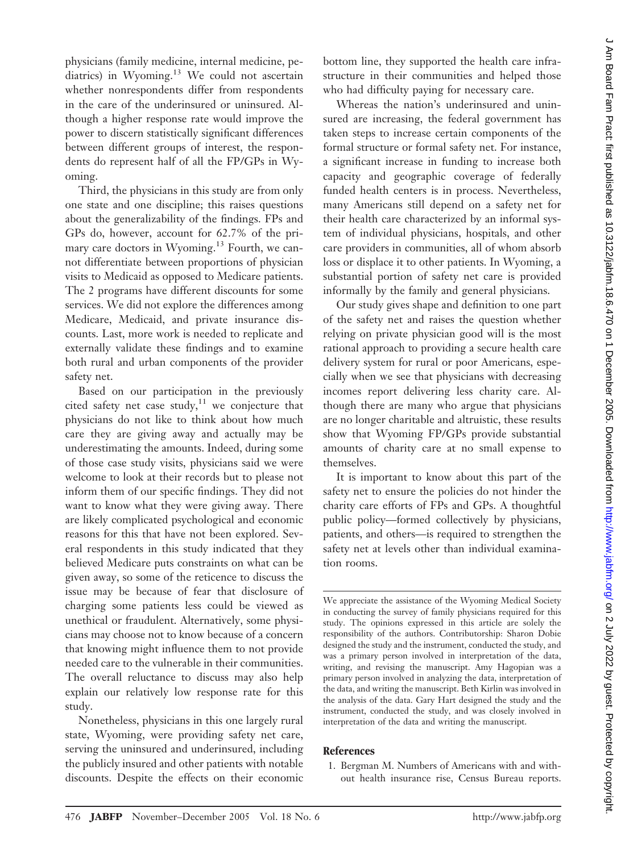physicians (family medicine, internal medicine, pediatrics) in Wyoming.<sup>13</sup> We could not ascertain whether nonrespondents differ from respondents in the care of the underinsured or uninsured. Although a higher response rate would improve the power to discern statistically significant differences between different groups of interest, the respondents do represent half of all the FP/GPs in Wyoming.

Third, the physicians in this study are from only one state and one discipline; this raises questions about the generalizability of the findings. FPs and GPs do, however, account for 62.7% of the primary care doctors in Wyoming.<sup>13</sup> Fourth, we cannot differentiate between proportions of physician visits to Medicaid as opposed to Medicare patients. The 2 programs have different discounts for some services. We did not explore the differences among Medicare, Medicaid, and private insurance discounts. Last, more work is needed to replicate and externally validate these findings and to examine both rural and urban components of the provider safety net.

Based on our participation in the previously cited safety net case study, $11$  we conjecture that physicians do not like to think about how much care they are giving away and actually may be underestimating the amounts. Indeed, during some of those case study visits, physicians said we were welcome to look at their records but to please not inform them of our specific findings. They did not want to know what they were giving away. There are likely complicated psychological and economic reasons for this that have not been explored. Several respondents in this study indicated that they believed Medicare puts constraints on what can be given away, so some of the reticence to discuss the issue may be because of fear that disclosure of charging some patients less could be viewed as unethical or fraudulent. Alternatively, some physicians may choose not to know because of a concern that knowing might influence them to not provide needed care to the vulnerable in their communities. The overall reluctance to discuss may also help explain our relatively low response rate for this study.

Nonetheless, physicians in this one largely rural state, Wyoming, were providing safety net care, serving the uninsured and underinsured, including the publicly insured and other patients with notable discounts. Despite the effects on their economic bottom line, they supported the health care infrastructure in their communities and helped those who had difficulty paying for necessary care.

Whereas the nation's underinsured and uninsured are increasing, the federal government has taken steps to increase certain components of the formal structure or formal safety net. For instance, a significant increase in funding to increase both capacity and geographic coverage of federally funded health centers is in process. Nevertheless, many Americans still depend on a safety net for their health care characterized by an informal system of individual physicians, hospitals, and other care providers in communities, all of whom absorb loss or displace it to other patients. In Wyoming, a substantial portion of safety net care is provided informally by the family and general physicians.

Our study gives shape and definition to one part of the safety net and raises the question whether relying on private physician good will is the most rational approach to providing a secure health care delivery system for rural or poor Americans, especially when we see that physicians with decreasing incomes report delivering less charity care. Although there are many who argue that physicians are no longer charitable and altruistic, these results show that Wyoming FP/GPs provide substantial amounts of charity care at no small expense to themselves.

It is important to know about this part of the safety net to ensure the policies do not hinder the charity care efforts of FPs and GPs. A thoughtful public policy—formed collectively by physicians, patients, and others—is required to strengthen the safety net at levels other than individual examination rooms.

## **References**

We appreciate the assistance of the Wyoming Medical Society in conducting the survey of family physicians required for this study. The opinions expressed in this article are solely the responsibility of the authors. Contributorship: Sharon Dobie designed the study and the instrument, conducted the study, and was a primary person involved in interpretation of the data, writing, and revising the manuscript. Amy Hagopian was a primary person involved in analyzing the data, interpretation of the data, and writing the manuscript. Beth Kirlin was involved in the analysis of the data. Gary Hart designed the study and the instrument, conducted the study, and was closely involved in interpretation of the data and writing the manuscript.

<sup>1.</sup> Bergman M. Numbers of Americans with and without health insurance rise, Census Bureau reports.